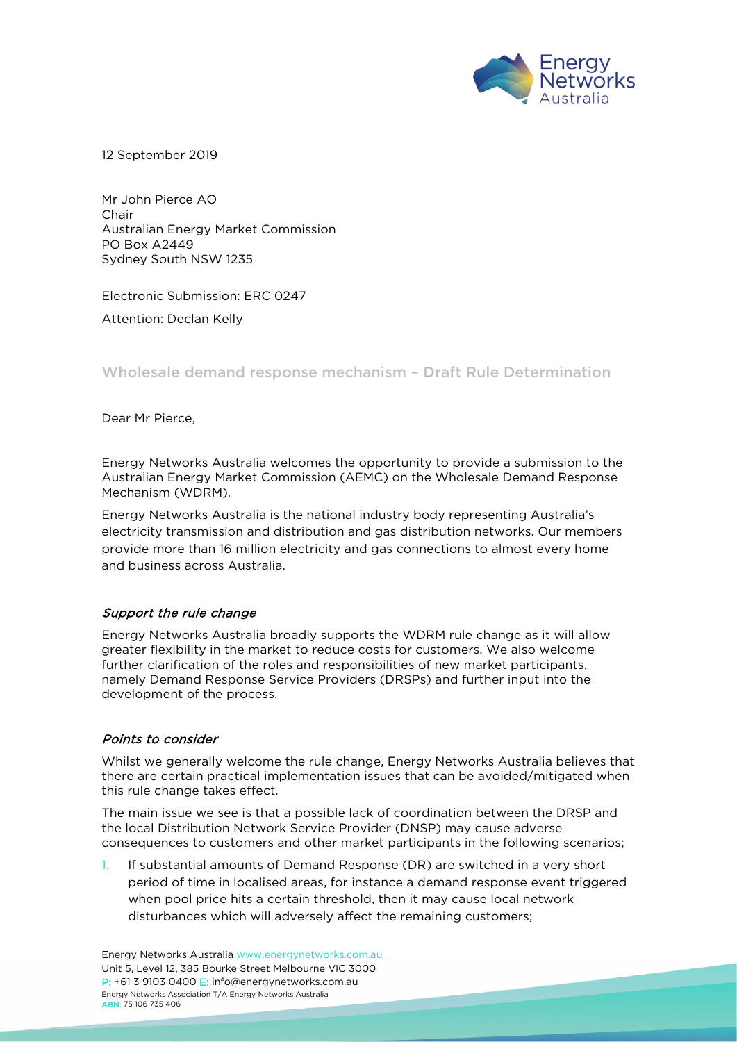

12 September 2019

Mr John Pierce AO Chair Australian Energy Market Commission PO Box A2449 Sydney South NSW 1235

Electronic Submission: ERC 0247

Attention: Declan Kelly

Wholesale demand response mechanism – Draft Rule Determination

Dear Mr Pierce,

Energy Networks Australia welcomes the opportunity to provide a submission to the Australian Energy Market Commission (AEMC) on the Wholesale Demand Response Mechanism (WDRM).

Energy Networks Australia is the national industry body representing Australia's electricity transmission and distribution and gas distribution networks. Our members provide more than 16 million electricity and gas connections to almost every home and business across Australia.

## Support the rule change

Energy Networks Australia broadly supports the WDRM rule change as it will allow greater flexibility in the market to reduce costs for customers. We also welcome further clarification of the roles and responsibilities of new market participants, namely Demand Response Service Providers (DRSPs) and further input into the development of the process.

## Points to consider

Whilst we generally welcome the rule change, Energy Networks Australia believes that there are certain practical implementation issues that can be avoided/mitigated when this rule change takes effect.

The main issue we see is that a possible lack of coordination between the DRSP and the local Distribution Network Service Provider (DNSP) may cause adverse consequences to customers and other market participants in the following scenarios;

1. If substantial amounts of Demand Response (DR) are switched in a very short period of time in localised areas, for instance a demand response event triggered when pool price hits a certain threshold, then it may cause local network disturbances which will adversely affect the remaining customers;

Energy Networks Australia [www.energynetworks.com.au](http://www.energynetworks.com.au/) Unit 5, Level 12, 385 Bourke Street Melbourne VIC 3000 P: +61 3 9103 0400 E: [info@energynetworks.com.au](mailto:info@energynetworks.com.au) Energy Networks Association T/A Energy Networks Australia ABN: 75 106 735 406